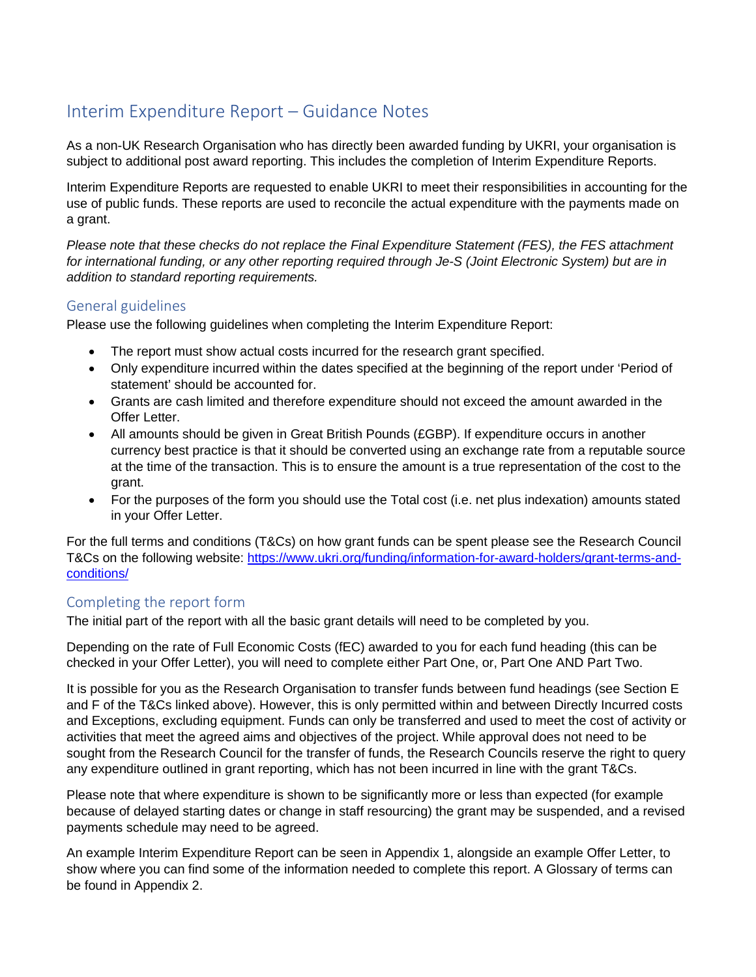# Interim Expenditure Report – Guidance Notes

As a non-UK Research Organisation who has directly been awarded funding by UKRI, your organisation is subject to additional post award reporting. This includes the completion of Interim Expenditure Reports.

Interim Expenditure Reports are requested to enable UKRI to meet their responsibilities in accounting for the use of public funds. These reports are used to reconcile the actual expenditure with the payments made on a grant.

*Please note that these checks do not replace the Final Expenditure Statement (FES), the FES attachment for international funding, or any other reporting required through Je-S (Joint Electronic System) but are in addition to standard reporting requirements.*

#### General guidelines

Please use the following guidelines when completing the Interim Expenditure Report:

- The report must show actual costs incurred for the research grant specified.
- Only expenditure incurred within the dates specified at the beginning of the report under 'Period of statement' should be accounted for.
- Grants are cash limited and therefore expenditure should not exceed the amount awarded in the Offer Letter.
- All amounts should be given in Great British Pounds (£GBP). If expenditure occurs in another currency best practice is that it should be converted using an exchange rate from a reputable source at the time of the transaction. This is to ensure the amount is a true representation of the cost to the grant.
- For the purposes of the form you should use the Total cost (i.e. net plus indexation) amounts stated in your Offer Letter.

For the full terms and conditions (T&Cs) on how grant funds can be spent please see the Research Council T&Cs on the following website: [https://www.ukri.org/funding/information-for-award-holders/grant-terms-and](https://www.ukri.org/funding/information-for-award-holders/grant-terms-and-conditions/)[conditions/](https://www.ukri.org/funding/information-for-award-holders/grant-terms-and-conditions/)

### Completing the report form

The initial part of the report with all the basic grant details will need to be completed by you.

Depending on the rate of Full Economic Costs (fEC) awarded to you for each fund heading (this can be checked in your Offer Letter), you will need to complete either Part One, or, Part One AND Part Two.

It is possible for you as the Research Organisation to transfer funds between fund headings (see Section E and F of the T&Cs linked above). However, this is only permitted within and between Directly Incurred costs and Exceptions, excluding equipment. Funds can only be transferred and used to meet the cost of activity or activities that meet the agreed aims and objectives of the project. While approval does not need to be sought from the Research Council for the transfer of funds, the Research Councils reserve the right to query any expenditure outlined in grant reporting, which has not been incurred in line with the grant T&Cs.

Please note that where expenditure is shown to be significantly more or less than expected (for example because of delayed starting dates or change in staff resourcing) the grant may be suspended, and a revised payments schedule may need to be agreed.

An example Interim Expenditure Report can be seen in Appendix 1, alongside an example Offer Letter, to show where you can find some of the information needed to complete this report. A Glossary of terms can be found in Appendix 2.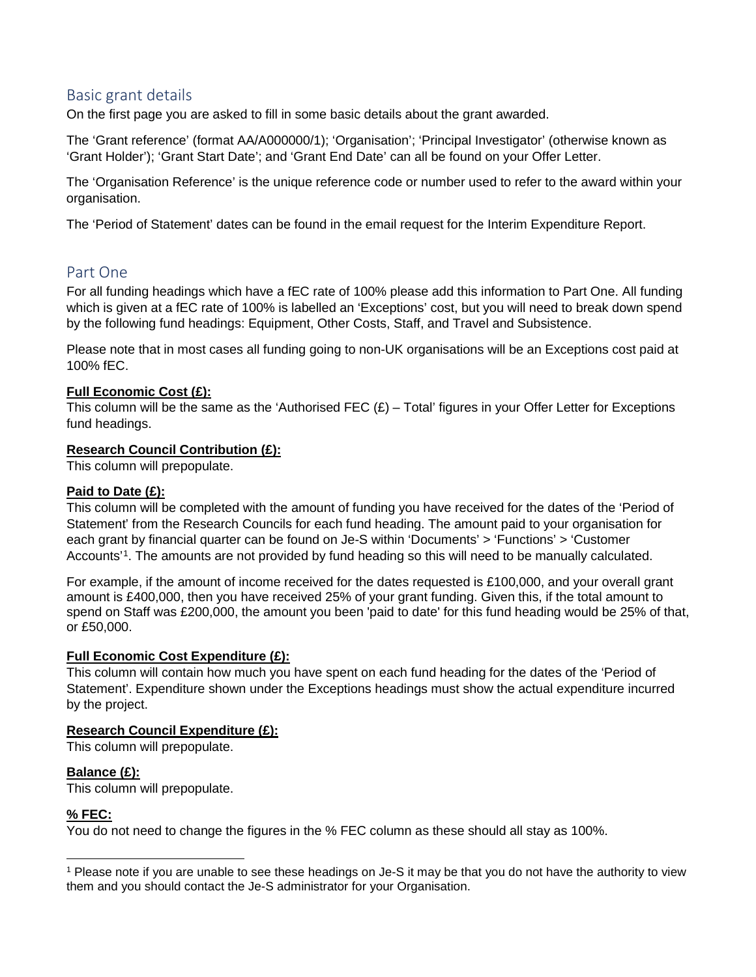# Basic grant details

On the first page you are asked to fill in some basic details about the grant awarded.

The 'Grant reference' (format AA/A000000/1); 'Organisation'; 'Principal Investigator' (otherwise known as 'Grant Holder'); 'Grant Start Date'; and 'Grant End Date' can all be found on your Offer Letter.

The 'Organisation Reference' is the unique reference code or number used to refer to the award within your organisation.

The 'Period of Statement' dates can be found in the email request for the Interim Expenditure Report.

# Part One

For all funding headings which have a fEC rate of 100% please add this information to Part One. All funding which is given at a fEC rate of 100% is labelled an 'Exceptions' cost, but you will need to break down spend by the following fund headings: Equipment, Other Costs, Staff, and Travel and Subsistence.

Please note that in most cases all funding going to non-UK organisations will be an Exceptions cost paid at 100% fEC.

#### **Full Economic Cost (£):**

This column will be the same as the 'Authorised FEC  $(E)$  – Total' figures in your Offer Letter for Exceptions fund headings.

#### **Research Council Contribution (£):**

This column will prepopulate.

#### **Paid to Date (£):**

This column will be completed with the amount of funding you have received for the dates of the 'Period of Statement' from the Research Councils for each fund heading. The amount paid to your organisation for each grant by financial quarter can be found on Je-S within 'Documents' > 'Functions' > 'Customer Accounts'[1.](#page-1-0) The amounts are not provided by fund heading so this will need to be manually calculated.

For example, if the amount of income received for the dates requested is £100,000, and your overall grant amount is £400,000, then you have received 25% of your grant funding. Given this, if the total amount to spend on Staff was £200,000, the amount you been 'paid to date' for this fund heading would be 25% of that, or £50,000.

#### **Full Economic Cost Expenditure (£):**

This column will contain how much you have spent on each fund heading for the dates of the 'Period of Statement'. Expenditure shown under the Exceptions headings must show the actual expenditure incurred by the project.

#### **Research Council Expenditure (£):**

This column will prepopulate.

#### **Balance (£):**

This column will prepopulate.

#### **% FEC:**

You do not need to change the figures in the % FEC column as these should all stay as 100%.

<span id="page-1-0"></span> <sup>1</sup> Please note if you are unable to see these headings on Je-S it may be that you do not have the authority to view them and you should contact the Je-S administrator for your Organisation.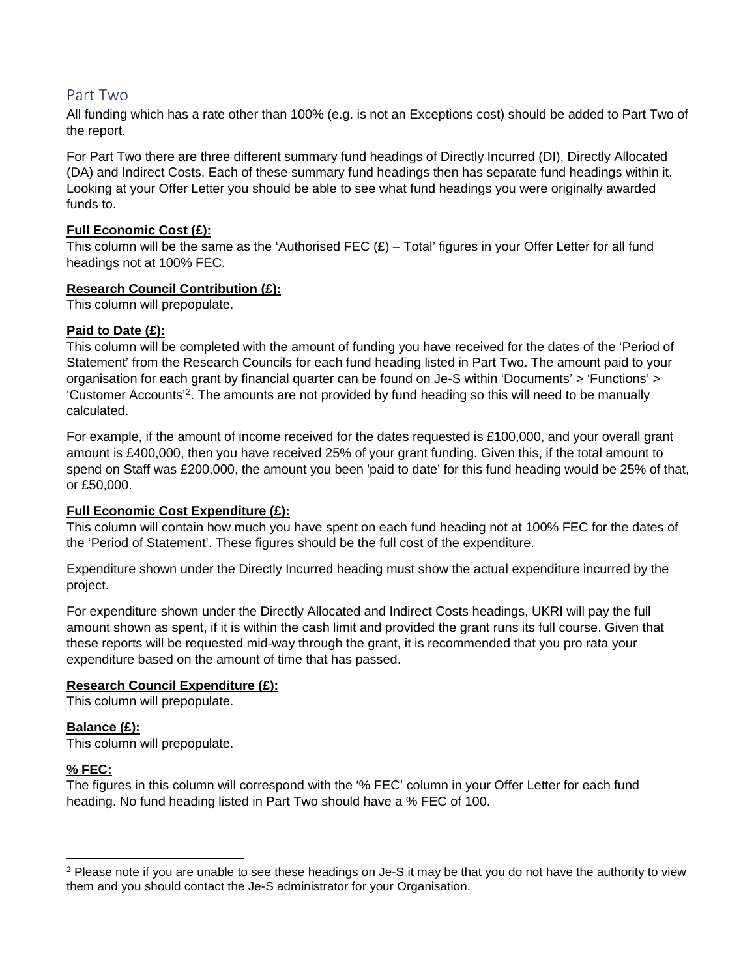# Part Two

All funding which has a rate other than 100% (e.g. is not an Exceptions cost) should be added to Part Two of the report.

For Part Two there are three different summary fund headings of Directly Incurred (DI), Directly Allocated (DA) and Indirect Costs. Each of these summary fund headings then has separate fund headings within it. Looking at your Offer Letter you should be able to see what fund headings you were originally awarded funds to.

#### **Full Economic Cost (£):**

This column will be the same as the 'Authorised FEC  $(E)$  – Total' figures in your Offer Letter for all fund headings not at 100% FEC.

#### **Research Council Contribution (£):**

This column will prepopulate.

#### **Paid to Date (£):**

This column will be completed with the amount of funding you have received for the dates of the 'Period of Statement' from the Research Councils for each fund heading listed in Part Two. The amount paid to your organisation for each grant by financial quarter can be found on Je-S within 'Documents' > 'Functions' > 'Customer Accounts'[2.](#page-2-0) The amounts are not provided by fund heading so this will need to be manually calculated.

For example, if the amount of income received for the dates requested is £100,000, and your overall grant amount is £400,000, then you have received 25% of your grant funding. Given this, if the total amount to spend on Staff was £200,000, the amount you been 'paid to date' for this fund heading would be 25% of that, or £50,000.

#### **Full Economic Cost Expenditure (£):**

This column will contain how much you have spent on each fund heading not at 100% FEC for the dates of the 'Period of Statement'. These figures should be the full cost of the expenditure.

Expenditure shown under the Directly Incurred heading must show the actual expenditure incurred by the project.

For expenditure shown under the Directly Allocated and Indirect Costs headings, UKRI will pay the full amount shown as spent, if it is within the cash limit and provided the grant runs its full course. Given that these reports will be requested mid-way through the grant, it is recommended that you pro rata your expenditure based on the amount of time that has passed.

#### **Research Council Expenditure (£):**

This column will prepopulate.

#### **Balance (£):**

This column will prepopulate.

#### **% FEC:**

The figures in this column will correspond with the '% FEC' column in your Offer Letter for each fund heading. No fund heading listed in Part Two should have a % FEC of 100.

<span id="page-2-0"></span><sup>&</sup>lt;sup>2</sup> Please note if you are unable to see these headings on Je-S it may be that you do not have the authority to view them and you should contact the Je-S administrator for your Organisation.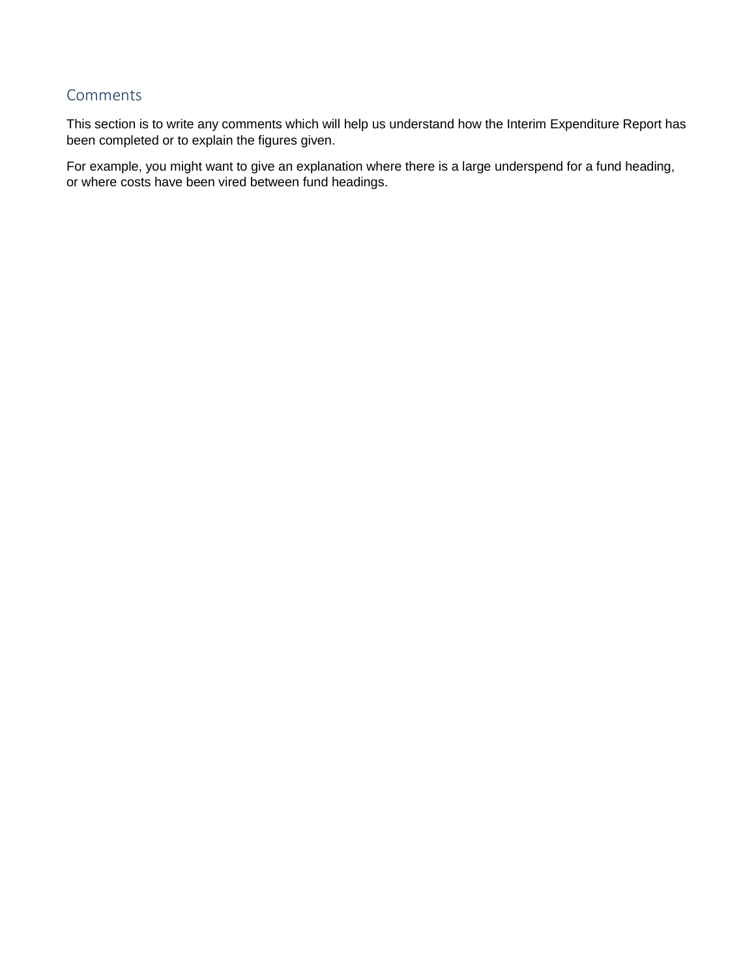# **Comments**

This section is to write any comments which will help us understand how the Interim Expenditure Report has been completed or to explain the figures given.

For example, you might want to give an explanation where there is a large underspend for a fund heading, or where costs have been vired between fund headings.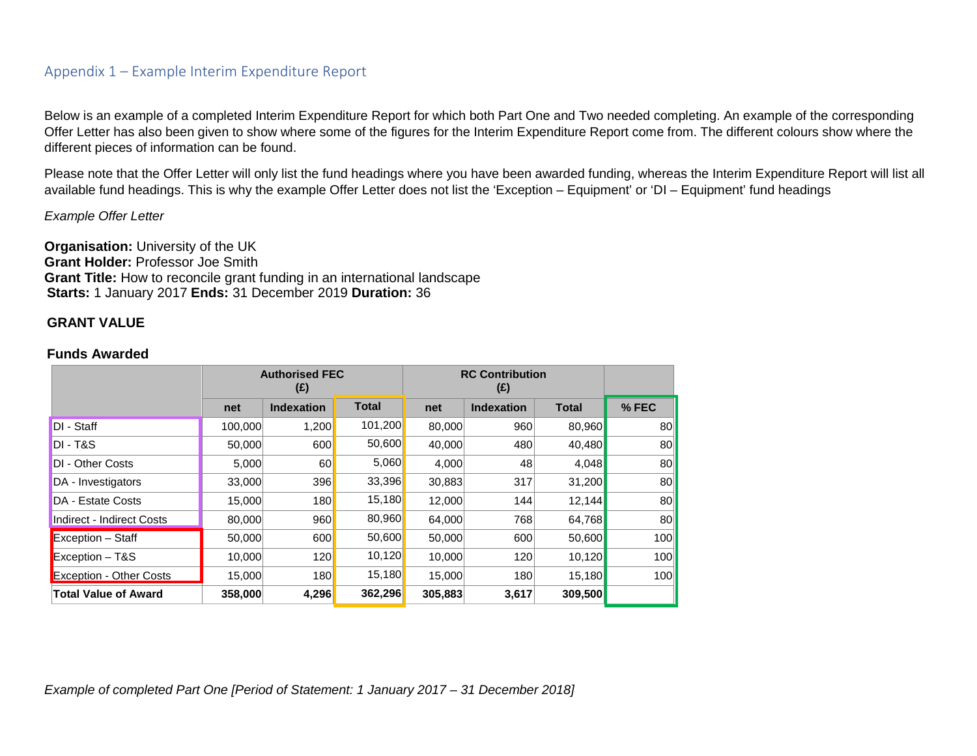### Appendix 1 – Example Interim Expenditure Report

Below is an example of a completed Interim Expenditure Report for which both Part One and Two needed completing. An example of the corresponding Offer Letter has also been given to show where some of the figures for the Interim Expenditure Report come from. The different colours show where the different pieces of information can be found.

Please note that the Offer Letter will only list the fund headings where you have been awarded funding, whereas the Interim Expenditure Report will list all available fund headings. This is why the example Offer Letter does not list the 'Exception – Equipment' or 'DI – Equipment' fund headings

*Example Offer Letter*

**Organisation:** University of the UK **Grant Holder:** Professor Joe Smith **Grant Title:** How to reconcile grant funding in an international landscape **Starts:** 1 January 2017 **Ends:** 31 December 2019 **Duration:** 36

#### **GRANT VALUE**

#### **Funds Awarded**

|                                | <b>Authorised FEC</b><br>(E) |                   |              | <b>RC Contribution</b><br>(E) |                   |              |                  |
|--------------------------------|------------------------------|-------------------|--------------|-------------------------------|-------------------|--------------|------------------|
|                                | net                          | <b>Indexation</b> | <b>Total</b> | net                           | <b>Indexation</b> | <b>Total</b> | % FEC            |
| DI - Staff                     | 100,000                      | 1,200             | 101,200      | 80,000                        | 960               | 80,960       | 80               |
| $DI - TAS$                     | 50,000                       | 600               | 50,600       | 40,000                        | 480               | 40,480       | 80               |
| <b>DI</b> - Other Costs        | 5,000                        | 60                | 5,060        | 4,000                         | 48                | 4,048        | 80               |
| DA - Investigators             | 33,000                       | 396               | 33,396       | 30,883                        | 317               | 31,200       | 80               |
| DA - Estate Costs              | 15,000                       | 180               | 15,180       | 12,000                        | 144               | 12,144       | 80               |
| Indirect - Indirect Costs      | 80,000                       | 960               | 80,960       | 64,000                        | 768               | 64,768       | 80               |
| <b>Exception</b> – Staff       | 50,000                       | 600               | 50,600       | 50,000                        | 600               | 50,600       | 100              |
| $Exception - T&S$              | 10,000                       | 120               | 10,120       | 10,000                        | 120               | 10,120       | 100              |
| <b>Exception - Other Costs</b> | 15,000                       | 180               | 15,180       | 15,000                        | 180               | 15,180       | 100 <sup>1</sup> |
| <b>Total Value of Award</b>    | 358,000                      | 4,296             | 362,296      | 305,883                       | 3,617             | 309,500      |                  |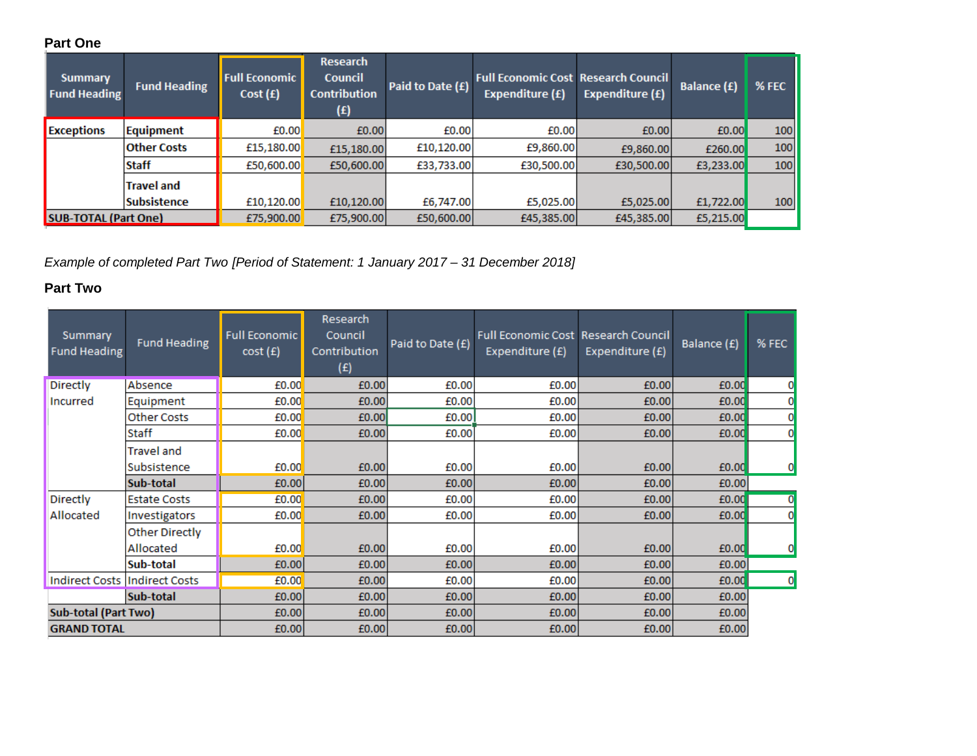# **Part One**

| <b>Summary</b><br><b>Fund Heading</b> | <b>Fund Heading</b> | <b>Full Economic</b><br>Cost(f) | <b>Research</b><br><b>Council</b><br><b>Contribution</b><br>(£) | Paid to Date (£) | <b>Full Economic Cost Research Council</b><br><b>Expenditure (£)</b> | Expenditure (£) | <b>Balance (£)</b> | % FEC |
|---------------------------------------|---------------------|---------------------------------|-----------------------------------------------------------------|------------------|----------------------------------------------------------------------|-----------------|--------------------|-------|
| <b>Exceptions</b>                     | Equipment           | £0.00                           | £0.00                                                           | £0.00            | £0.00                                                                | £0,00           | £0.00              | 100   |
|                                       | <b>Other Costs</b>  | £15,180.00                      | £15,180.00                                                      | £10,120.00       | £9,860.00                                                            | £9,860,00       | £260.00            | 100   |
|                                       | <b>Staff</b>        | £50,600.00                      | £50,600.00                                                      | £33,733.00       | £30,500.00                                                           | £30,500.00      | £3,233.00          | 100   |
|                                       | <b>Travel and</b>   |                                 |                                                                 |                  |                                                                      |                 |                    |       |
|                                       | <b>Subsistence</b>  | £10,120.00                      | £10,120.00                                                      | £6,747.00        | £5,025.00                                                            | £5,025.00       | £1,722.00          | 100   |
| <b>SUB-TOTAL (Part One)</b>           |                     | £75,900.00                      | £75,900.00                                                      | £50,600.00       | £45,385.00                                                           | £45,385.00      | £5,215.00          |       |

*Example of completed Part Two [Period of Statement: 1 January 2017 – 31 December 2018]*

# **Part Two**

| Summary<br><b>Fund Heading</b> | <b>Fund Heading</b>              | <b>Full Economic</b><br>cost(f) | Research<br>Council<br>Contribution<br>(£) | Paid to Date (£) | <b>Full Economic Cost Research Council</b><br>Expenditure (£) | Expenditure (£) | Balance (£) | % FEC |
|--------------------------------|----------------------------------|---------------------------------|--------------------------------------------|------------------|---------------------------------------------------------------|-----------------|-------------|-------|
| <b>Directly</b>                | Absence                          | £0.00                           | £0.00                                      | £0.00            | £0.00                                                         | £0.00           | £0.00       |       |
| Incurred                       | Equipment                        | £0.00                           | £0.00                                      | £0.00            | £0.00                                                         | £0.00           | £0.00       |       |
|                                | <b>Other Costs</b>               | £0.00                           | £0.00                                      | £0.00            | £0.00                                                         | £0.00           | £0.00       |       |
|                                | Staff                            | £0.00                           | £0.00                                      | £0.00            | £0.00                                                         | £0.00           | £0.00       |       |
|                                | <b>Travel and</b><br>Subsistence | £0.00                           | £0.00                                      | £0.00            | £0.00                                                         | £0.00           | £0.00       |       |
|                                | Sub-total                        | £0.00                           | £0.00                                      | £0.00            | £0.00                                                         | £0.00           | £0.00       |       |
| Directly                       | <b>Estate Costs</b>              | £0.00                           | £0.00                                      | £0.00            | £0.00                                                         | £0.00           | £0.00       | 0     |
| Allocated                      | Investigators                    | £0.00                           | £0.00                                      | £0.00            | £0.00                                                         | £0.00           | £0.00       |       |
|                                | <b>Other Directly</b>            |                                 |                                            |                  |                                                               |                 |             |       |
|                                | Allocated                        | £0.00                           | £0.00                                      | £0.00            | £0.00                                                         | £0.00           | £0.00       |       |
|                                | Sub-total                        | £0.00                           | £0.00                                      | £0.00            | £0.00                                                         | £0.00           | £0.00       |       |
|                                | Indirect Costs   Indirect Costs  | £0.00                           | £0.00                                      | £0.00            | £0.00                                                         | £0.00           | £0.00       | 0     |
|                                | Sub-total                        | £0.00                           | £0.00                                      | £0.00            | £0.00                                                         | £0.00           | £0.00       |       |
| <b>Sub-total (Part Two)</b>    |                                  | £0.00                           | £0.00                                      | £0.00            | £0.00                                                         | £0.00           | £0.00       |       |
| <b>GRAND TOTAL</b>             |                                  | £0.00                           | £0.00                                      | £0.00            | £0.00                                                         | £0.00           | £0.00       |       |